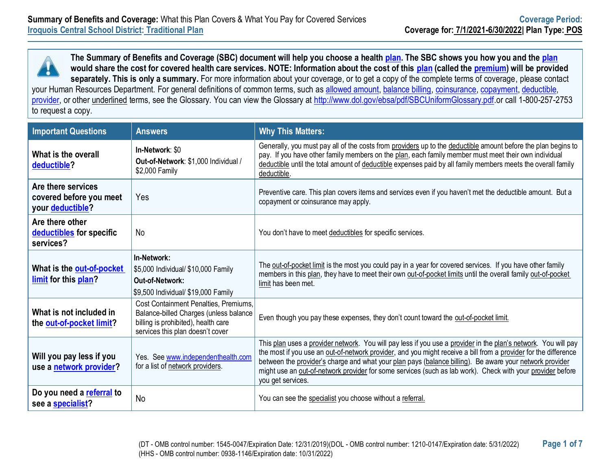**The Summary of Benefits and Coverage (SBC) document will help you choose a healt[h plan.](https://www.healthcare.gov/sbc-glossary/#plan) The SBC shows you how you and the [plan](https://www.healthcare.gov/sbc-glossary/#plan) would share the cost for covered health care services. NOTE: Information about the cost of this [plan](https://www.healthcare.gov/sbc-glossary/#plan) (called the [premium\)](https://www.healthcare.gov/sbc-glossary/#premium) will be provided**  Ţ **separately. This is only a summary.** For more information about your coverage, or to get a copy of the complete terms of coverage, please contact your Human Resources Department. For general definitions of common terms, such a[s allowed amount,](https://www.healthcare.gov/sbc-glossary/#allowed-amount) [balance billing,](https://www.healthcare.gov/sbc-glossary/#balance-billing) [coinsurance,](https://www.healthcare.gov/sbc-glossary/#coinsurance) [copayment,](https://www.healthcare.gov/sbc-glossary/#copayment) [deductible,](https://www.healthcare.gov/sbc-glossary/#deductible) [provider,](https://www.healthcare.gov/sbc-glossary/#provider) or other underlined terms, see the Glossary. You can view the Glossary at [http://www.dol.gov/ebsa/pdf/SBCUniformGlossary.pdf.](http://www.dol.gov/ebsa/pdf/SBCUniformGlossary.pdf)or call 1-800-257-2753 to request a copy.

| <b>Important Questions</b>                                        | <b>Answers</b>                                                                                                                                             | <b>Why This Matters:</b>                                                                                                                                                                                                                                                                                                                                                                                                                                                        |
|-------------------------------------------------------------------|------------------------------------------------------------------------------------------------------------------------------------------------------------|---------------------------------------------------------------------------------------------------------------------------------------------------------------------------------------------------------------------------------------------------------------------------------------------------------------------------------------------------------------------------------------------------------------------------------------------------------------------------------|
| What is the overall<br>deductible?                                | In-Network: \$0<br>Out-of-Network: \$1,000 Individual /<br>\$2,000 Family                                                                                  | Generally, you must pay all of the costs from providers up to the deductible amount before the plan begins to<br>pay. If you have other family members on the plan, each family member must meet their own individual<br>deductible until the total amount of deductible expenses paid by all family members meets the overall family<br>deductible.                                                                                                                            |
| Are there services<br>covered before you meet<br>your deductible? | Yes                                                                                                                                                        | Preventive care. This plan covers items and services even if you haven't met the deductible amount. But a<br>copayment or coinsurance may apply.                                                                                                                                                                                                                                                                                                                                |
| Are there other<br>deductibles for specific<br>services?          | No                                                                                                                                                         | You don't have to meet deductibles for specific services.                                                                                                                                                                                                                                                                                                                                                                                                                       |
| What is the out-of-pocket<br>limit for this plan?                 | In-Network:<br>\$5,000 Individual/ \$10,000 Family<br><b>Out-of-Network:</b><br>\$9,500 Individual/ \$19,000 Family                                        | The out-of-pocket limit is the most you could pay in a year for covered services. If you have other family<br>members in this plan, they have to meet their own out-of-pocket limits until the overall family out-of-pocket<br>limit has been met.                                                                                                                                                                                                                              |
| What is not included in<br>the out-of-pocket limit?               | Cost Containment Penalties, Premiums,<br>Balance-billed Charges (unless balance<br>billing is prohibited), health care<br>services this plan doesn't cover | Even though you pay these expenses, they don't count toward the out-of-pocket limit.                                                                                                                                                                                                                                                                                                                                                                                            |
| Will you pay less if you<br>use a network provider?               | Yes. See www.independenthealth.com<br>for a list of network providers.                                                                                     | This plan uses a provider network. You will pay less if you use a provider in the plan's network. You will pay<br>the most if you use an out-of-network provider, and you might receive a bill from a provider for the difference<br>between the provider's charge and what your plan pays (balance billing). Be aware your network provider<br>might use an out-of-network provider for some services (such as lab work). Check with your provider before<br>you get services. |
| Do you need a referral to<br>see a specialist?                    | No                                                                                                                                                         | You can see the specialist you choose without a referral.                                                                                                                                                                                                                                                                                                                                                                                                                       |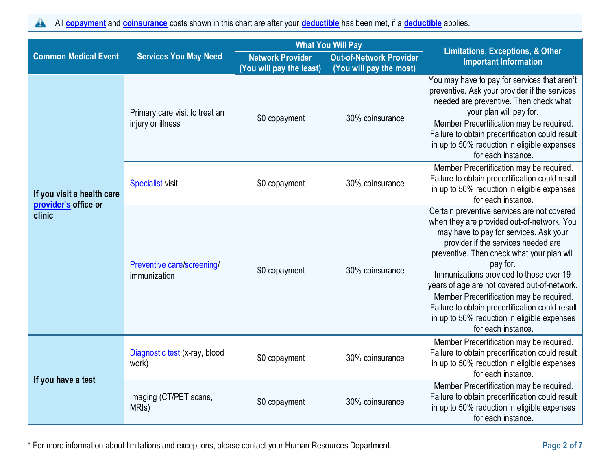All **[copayment](https://www.healthcare.gov/sbc-glossary/#copayment)** and **[coinsurance](https://www.healthcare.gov/sbc-glossary/#coinsurance)** costs shown in this chart are after your **[deductible](https://www.healthcare.gov/sbc-glossary/#deductible)** has been met, if a **[deductible](https://www.healthcare.gov/sbc-glossary/#deductible)** applies.  $\blacktriangle$ 

|                                                    | <b>Services You May Need</b>                                | <b>What You Will Pay</b>                            |                                                           | <b>Limitations, Exceptions, &amp; Other</b>                                                                                                                                                                                                                                                                                                                                                                                                                                                         |  |
|----------------------------------------------------|-------------------------------------------------------------|-----------------------------------------------------|-----------------------------------------------------------|-----------------------------------------------------------------------------------------------------------------------------------------------------------------------------------------------------------------------------------------------------------------------------------------------------------------------------------------------------------------------------------------------------------------------------------------------------------------------------------------------------|--|
| <b>Common Medical Event</b>                        |                                                             | <b>Network Provider</b><br>(You will pay the least) | <b>Out-of-Network Provider</b><br>(You will pay the most) | <b>Important Information</b>                                                                                                                                                                                                                                                                                                                                                                                                                                                                        |  |
|                                                    | Primary care visit to treat an<br>injury or illness         | \$0 copayment                                       | 30% coinsurance                                           | You may have to pay for services that aren't<br>preventive. Ask your provider if the services<br>needed are preventive. Then check what<br>your plan will pay for.<br>Member Precertification may be required.<br>Failure to obtain precertification could result<br>in up to 50% reduction in eligible expenses<br>for each instance.                                                                                                                                                              |  |
| If you visit a health care<br>provider's office or | <b>Specialist visit</b><br>\$0 copayment<br>30% coinsurance |                                                     |                                                           | Member Precertification may be required.<br>Failure to obtain precertification could result<br>in up to 50% reduction in eligible expenses<br>for each instance.                                                                                                                                                                                                                                                                                                                                    |  |
| clinic                                             | Preventive care/screening/<br>immunization                  | \$0 copayment                                       | 30% coinsurance                                           | Certain preventive services are not covered<br>when they are provided out-of-network. You<br>may have to pay for services. Ask your<br>provider if the services needed are<br>preventive. Then check what your plan will<br>pay for.<br>Immunizations provided to those over 19<br>years of age are not covered out-of-network.<br>Member Precertification may be required.<br>Failure to obtain precertification could result<br>in up to 50% reduction in eligible expenses<br>for each instance. |  |
| If you have a test                                 | Diagnostic test (x-ray, blood<br>work)                      | \$0 copayment                                       | 30% coinsurance                                           | Member Precertification may be required.<br>Failure to obtain precertification could result<br>in up to 50% reduction in eligible expenses<br>for each instance.                                                                                                                                                                                                                                                                                                                                    |  |
|                                                    | Imaging (CT/PET scans,<br>MRI <sub>s</sub> )                | \$0 copayment                                       | 30% coinsurance                                           | Member Precertification may be required.<br>Failure to obtain precertification could result<br>in up to 50% reduction in eligible expenses<br>for each instance.                                                                                                                                                                                                                                                                                                                                    |  |

\* For more information about limitations and exceptions, please contact your Human Resources Department. **Page 2 of 7**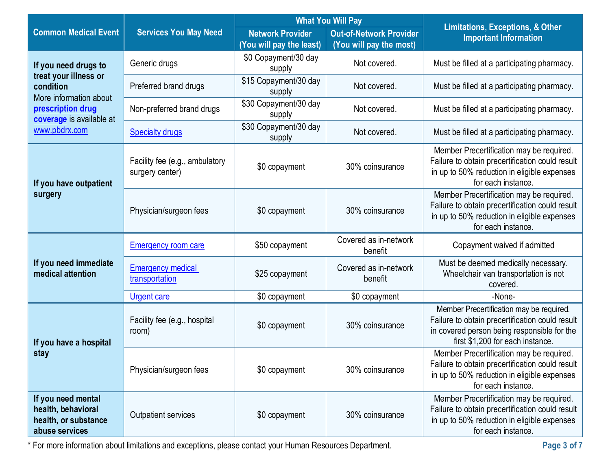|                                                                                    |                                                   | <b>What You Will Pay</b>                            |                                                           | <b>Limitations, Exceptions, &amp; Other</b>                                                                                                                                    |  |
|------------------------------------------------------------------------------------|---------------------------------------------------|-----------------------------------------------------|-----------------------------------------------------------|--------------------------------------------------------------------------------------------------------------------------------------------------------------------------------|--|
| <b>Common Medical Event</b>                                                        | <b>Services You May Need</b>                      | <b>Network Provider</b><br>(You will pay the least) | <b>Out-of-Network Provider</b><br>(You will pay the most) | <b>Important Information</b>                                                                                                                                                   |  |
| If you need drugs to                                                               | Generic drugs                                     | \$0 Copayment/30 day<br>supply                      | Not covered.                                              | Must be filled at a participating pharmacy.                                                                                                                                    |  |
| treat your illness or<br>condition<br>More information about                       | Preferred brand drugs                             | \$15 Copayment/30 day<br>supply                     | Not covered.                                              | Must be filled at a participating pharmacy.                                                                                                                                    |  |
| prescription drug<br>coverage is available at                                      | Non-preferred brand drugs                         | \$30 Copayment/30 day<br>supply                     | Not covered.                                              | Must be filled at a participating pharmacy.                                                                                                                                    |  |
| www.pbdrx.com                                                                      | <b>Specialty drugs</b>                            | \$30 Copayment/30 day<br>supply                     | Not covered.                                              | Must be filled at a participating pharmacy.                                                                                                                                    |  |
| If you have outpatient                                                             | Facility fee (e.g., ambulatory<br>surgery center) | \$0 copayment                                       | 30% coinsurance                                           | Member Precertification may be required.<br>Failure to obtain precertification could result<br>in up to 50% reduction in eligible expenses<br>for each instance.               |  |
| surgery                                                                            | Physician/surgeon fees                            | \$0 copayment                                       | 30% coinsurance                                           | Member Precertification may be required.<br>Failure to obtain precertification could result<br>in up to 50% reduction in eligible expenses<br>for each instance.               |  |
|                                                                                    | Emergency room care                               | \$50 copayment                                      | Covered as in-network<br>benefit                          | Copayment waived if admitted                                                                                                                                                   |  |
| If you need immediate<br>medical attention                                         | <b>Emergency medical</b><br>transportation        | \$25 copayment                                      | Covered as in-network<br>benefit                          | Must be deemed medically necessary.<br>Wheelchair van transportation is not<br>covered.                                                                                        |  |
|                                                                                    | <b>Urgent care</b>                                | \$0 copayment                                       | \$0 copayment                                             | -None-                                                                                                                                                                         |  |
| If you have a hospital<br>stay                                                     | Facility fee (e.g., hospital<br>room)             | \$0 copayment                                       | 30% coinsurance                                           | Member Precertification may be required.<br>Failure to obtain precertification could result<br>in covered person being responsible for the<br>first \$1,200 for each instance. |  |
|                                                                                    | Physician/surgeon fees                            | \$0 copayment                                       | 30% coinsurance                                           | Member Precertification may be required.<br>Failure to obtain precertification could result<br>in up to 50% reduction in eligible expenses<br>for each instance.               |  |
| If you need mental<br>health, behavioral<br>health, or substance<br>abuse services | <b>Outpatient services</b>                        | \$0 copayment                                       | 30% coinsurance                                           | Member Precertification may be required.<br>Failure to obtain precertification could result<br>in up to 50% reduction in eligible expenses<br>for each instance.               |  |

\* For more information about limitations and exceptions, please contact your Human Resources Department. **Page 3 of 7**

J.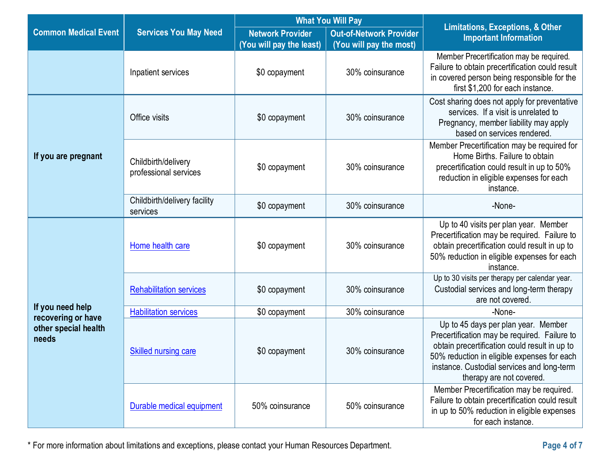|                                        |                                              | <b>What You Will Pay</b>                            |                                                           |                                                                                                                                                                                                                                                               |  |
|----------------------------------------|----------------------------------------------|-----------------------------------------------------|-----------------------------------------------------------|---------------------------------------------------------------------------------------------------------------------------------------------------------------------------------------------------------------------------------------------------------------|--|
| <b>Common Medical Event</b>            | <b>Services You May Need</b>                 | <b>Network Provider</b><br>(You will pay the least) | <b>Out-of-Network Provider</b><br>(You will pay the most) | <b>Limitations, Exceptions, &amp; Other</b><br><b>Important Information</b>                                                                                                                                                                                   |  |
|                                        | Inpatient services                           | \$0 copayment                                       | 30% coinsurance                                           | Member Precertification may be required.<br>Failure to obtain precertification could result<br>in covered person being responsible for the<br>first \$1,200 for each instance.                                                                                |  |
|                                        | Office visits                                | \$0 copayment                                       | 30% coinsurance                                           | Cost sharing does not apply for preventative<br>services. If a visit is unrelated to<br>Pregnancy, member liability may apply<br>based on services rendered.                                                                                                  |  |
| If you are pregnant                    | Childbirth/delivery<br>professional services | \$0 copayment                                       | 30% coinsurance                                           | Member Precertification may be required for<br>Home Births. Failure to obtain<br>precertification could result in up to 50%<br>reduction in eligible expenses for each<br>instance.                                                                           |  |
|                                        | Childbirth/delivery facility<br>services     | \$0 copayment                                       | 30% coinsurance                                           | -None-                                                                                                                                                                                                                                                        |  |
|                                        | Home health care                             | \$0 copayment                                       | 30% coinsurance                                           | Up to 40 visits per plan year. Member<br>Precertification may be required. Failure to<br>obtain precertification could result in up to<br>50% reduction in eligible expenses for each<br>instance.                                                            |  |
|                                        | <b>Rehabilitation services</b>               | \$0 copayment                                       | 30% coinsurance                                           | Up to 30 visits per therapy per calendar year.<br>Custodial services and long-term therapy<br>are not covered.                                                                                                                                                |  |
| If you need help<br>recovering or have | <b>Habilitation services</b>                 | \$0 copayment                                       | 30% coinsurance                                           | -None-                                                                                                                                                                                                                                                        |  |
| other special health<br>needs          | <b>Skilled nursing care</b>                  | \$0 copayment                                       | 30% coinsurance                                           | Up to 45 days per plan year. Member<br>Precertification may be required. Failure to<br>obtain precertification could result in up to<br>50% reduction in eligible expenses for each<br>instance. Custodial services and long-term<br>therapy are not covered. |  |
|                                        | Durable medical equipment                    | 50% coinsurance                                     | 50% coinsurance                                           | Member Precertification may be required.<br>Failure to obtain precertification could result<br>in up to 50% reduction in eligible expenses<br>for each instance.                                                                                              |  |

\* For more information about limitations and exceptions, please contact your Human Resources Department. **Page 4 of 7**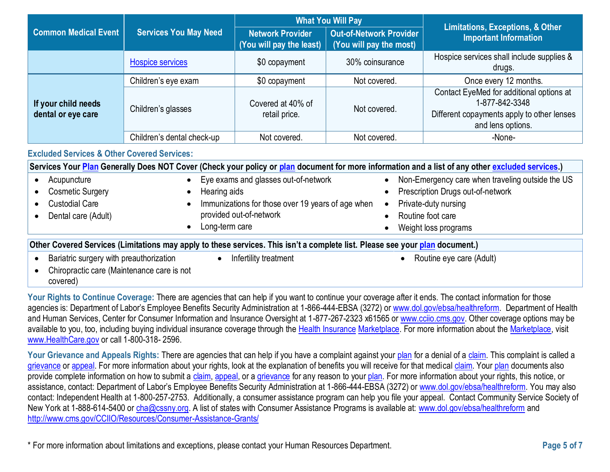|                                           | <b>Services You May Need</b> | <b>What You Will Pay</b>                     |                                                           | <b>Limitations, Exceptions, &amp; Other</b>                                                              |
|-------------------------------------------|------------------------------|----------------------------------------------|-----------------------------------------------------------|----------------------------------------------------------------------------------------------------------|
| <b>Common Medical Event</b>               |                              | Network Provider<br>(You will pay the least) | <b>Out-of-Network Provider</b><br>(You will pay the most) | <b>Important Information</b>                                                                             |
|                                           | <b>Hospice services</b>      | \$0 copayment                                | 30% coinsurance                                           | Hospice services shall include supplies &<br>drugs.                                                      |
|                                           | Children's eye exam          | \$0 copayment                                | Not covered.                                              | Once every 12 months.                                                                                    |
| If your child needs<br>dental or eye care | Children's glasses           | Covered at 40% of<br>retail price.           | Not covered.                                              | Contact EyeMed for additional options at<br>1-877-842-3348<br>Different copayments apply to other lenses |
|                                           |                              |                                              |                                                           | and lens options.                                                                                        |
|                                           | Children's dental check-up   | Not covered.                                 | Not covered.                                              | -None-                                                                                                   |

### **Excluded Services & Other Covered Services:**

|                                                                                                   | Services Your Plan Generally Does NOT Cover (Check your policy or plan document for more information and a list of any other excluded services.)                                 |                                                                                                                                                                         |
|---------------------------------------------------------------------------------------------------|----------------------------------------------------------------------------------------------------------------------------------------------------------------------------------|-------------------------------------------------------------------------------------------------------------------------------------------------------------------------|
| Acupuncture<br><b>Cosmetic Surgery</b><br><b>Custodial Care</b><br>Dental care (Adult)            | Eye exams and glasses out-of-network<br>$\bullet$<br>Hearing aids<br>Immunizations for those over 19 years of age when<br>provided out-of-network<br>Long-term care<br>$\bullet$ | Non-Emergency care when traveling outside the US<br>Prescription Drugs out-of-network<br>Private-duty nursing<br>$\bullet$<br>Routine foot care<br>Weight loss programs |
|                                                                                                   | Other Covered Services (Limitations may apply to these services. This isn't a complete list. Please see your plan document.)                                                     |                                                                                                                                                                         |
| Bariatric surgery with preauthorization<br>Chiropractic care (Maintenance care is not<br>covered) | Infertility treatment                                                                                                                                                            | Routine eye care (Adult)                                                                                                                                                |

Your Rights to Continue Coverage: There are agencies that can help if you want to continue your coverage after it ends. The contact information for those agencies is: Department of Labor's Employee Benefits Security Administration at 1-866-444-EBSA (3272) o[r www.dol.gov/ebsa/healthreform.](http://www.dol.gov/ebsa/healthreform) Department of Health and Human Services, Center for Consumer Information and Insurance Oversight at 1-877-267-2323 x61565 o[r www.cciio.cms.gov.](http://www.cciio.cms.gov/) Other coverage options may be available to you, too, including buying individual insurance coverage through the [Health Insurance](https://www.healthcare.gov/sbc-glossary/#health-insurance) [Marketplace.](https://www.healthcare.gov/sbc-glossary/#marketplace) For more information about th[e Marketplace,](https://www.healthcare.gov/sbc-glossary/#marketplace) visit [www.HealthCare.gov](http://www.healthcare.gov/) or call 1-800-318- 2596.

Your Grievance and Appeals Rights: There are agencies that can help if you have a complaint against you[r plan](https://www.healthcare.gov/sbc-glossary/#plan) for a denial of [a claim.](https://www.healthcare.gov/sbc-glossary/#claim) This complaint is called a [grievance](https://www.healthcare.gov/sbc-glossary/#grievance) or [appeal.](https://www.healthcare.gov/sbc-glossary/#appeal) For more information about your rights, look at the explanation of benefits you will receive for that medica[l claim.](https://www.healthcare.gov/sbc-glossary/#claim) You[r plan](https://www.healthcare.gov/sbc-glossary/#plan) documents also provide complete information on how to submit a [claim,](https://www.healthcare.gov/sbc-glossary/#claim) [appeal,](https://www.healthcare.gov/sbc-glossary/#appeal) or [a grievance](https://www.healthcare.gov/sbc-glossary/#grievance) for any reason to you[r plan.](https://www.healthcare.gov/sbc-glossary/#plan) For more information about your rights, this notice, or assistance, contact: Department of Labor's Employee Benefits Security Administration at 1-866-444-EBSA (3272) o[r www.dol.gov/ebsa/healthreform.](http://www.dol.gov/ebsa/healthreform) You may also contact: Independent Health at 1-800-257-2753. Additionally, a consumer assistance program can help you file your appeal. Contact Community Service Society of New York at 1-888-614-5400 o[r cha@cssny.org.](mailto:cha@cssny.org) A list of states with Consumer Assistance Programs is available at: [www.dol.gov/ebsa/healthreform](http://www.dol.gov/ebsa/healthreform) and <http://www.cms.gov/CCIIO/Resources/Consumer-Assistance-Grants/>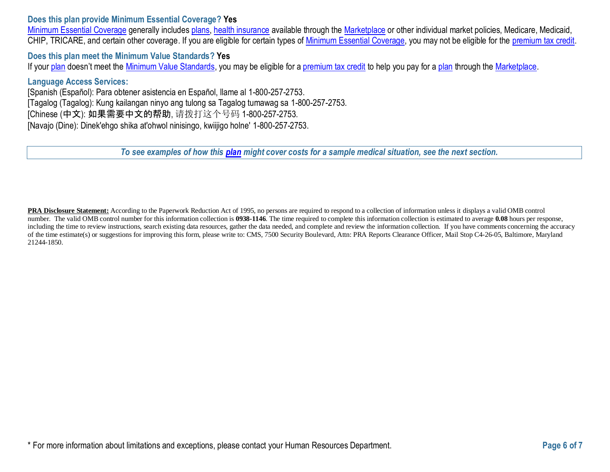#### **Does this plan provide Minimum Essential Coverage? Yes**

[Minimum Essential Coverage](https://www.healthcare.gov/sbc-glossary/#minimum-essential-coverage) generally includes [plans,](https://www.healthcare.gov/sbc-glossary/#plan) [health insurance](https://www.healthcare.gov/sbc-glossary/#health-insurance) available through the [Marketplace](https://www.healthcare.gov/sbc-glossary/#marketplace) or other individual market policies, Medicare, Medicaid, CHIP, TRICARE, and certain other coverage. If you are eligible for certain types of [Minimum Essential Coverage,](https://www.healthcare.gov/sbc-glossary/#minimum-essential-coverage) you may not be eligible for the [premium tax credit.](https://www.healthcare.gov/sbc-glossary/#premium-tax-credits)

**Does this plan meet the Minimum Value Standards? Yes**

If your [plan](https://www.healthcare.gov/sbc-glossary/#plan) doesn't meet the [Minimum Value Standards,](https://www.healthcare.gov/sbc-glossary/#minimum-value-standard) you may be eligible for a [premium tax credit](https://www.healthcare.gov/sbc-glossary/#premium-tax-credits) to help you pay for a plan through th[e Marketplace.](https://www.healthcare.gov/sbc-glossary/#marketplace)

### **Language Access Services:**

[Spanish (Español): Para obtener asistencia en Español, llame al 1-800-257-2753. [Tagalog (Tagalog): Kung kailangan ninyo ang tulong sa Tagalog tumawag sa 1-800-257-2753. [Chinese (中文): 如果需要中文的帮助, 请拨打这个号码 1-800-257-2753. [Navajo (Dine): Dinek'ehgo shika at'ohwol ninisingo, kwiijigo holne' 1-800-257-2753.

*To see examples of how this [plan](https://www.healthcare.gov/sbc-glossary/#plan) might cover costs for a sample medical situation, see the next section.*

**PRA Disclosure Statement:** According to the Paperwork Reduction Act of 1995, no persons are required to respond to a collection of information unless it displays a valid OMB control number. The valid OMB control number for this information collection is **0938-1146**. The time required to complete this information collection is estimated to average **0.08** hours per response, including the time to review instructions, search existing data resources, gather the data needed, and complete and review the information collection. If you have comments concerning the accuracy of the time estimate(s) or suggestions for improving this form, please write to: CMS, 7500 Security Boulevard, Attn: PRA Reports Clearance Officer, Mail Stop C4-26-05, Baltimore, Maryland 21244-1850.